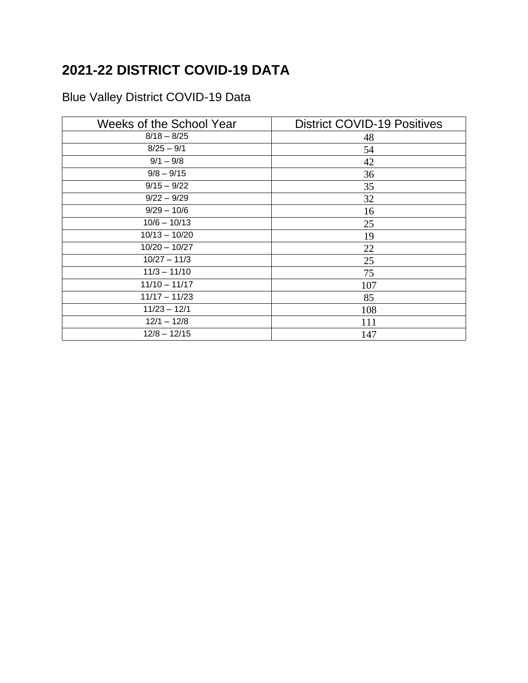## **2021-22 DISTRICT COVID-19 DATA**

## Blue Valley District COVID-19 Data

| <b>Weeks of the School Year</b> | <b>District COVID-19 Positives</b> |
|---------------------------------|------------------------------------|
| $8/18 - 8/25$                   | 48                                 |
| $8/25 - 9/1$                    | 54                                 |
| $9/1 - 9/8$                     | 42                                 |
| $9/8 - 9/15$                    | 36                                 |
| $9/15 - 9/22$                   | 35                                 |
| $9/22 - 9/29$                   | 32                                 |
| $9/29 - 10/6$                   | 16                                 |
| $10/6 - 10/13$                  | 25                                 |
| $10/13 - 10/20$                 | 19                                 |
| $10/20 - 10/27$                 | 22                                 |
| $10/27 - 11/3$                  | 25                                 |
| $11/3 - 11/10$                  | 75                                 |
| $11/10 - 11/17$                 | 107                                |
| $11/17 - 11/23$                 | 85                                 |
| $11/23 - 12/1$                  | 108                                |
| $12/1 - 12/8$                   | 111                                |
| $12/8 - 12/15$                  | 147                                |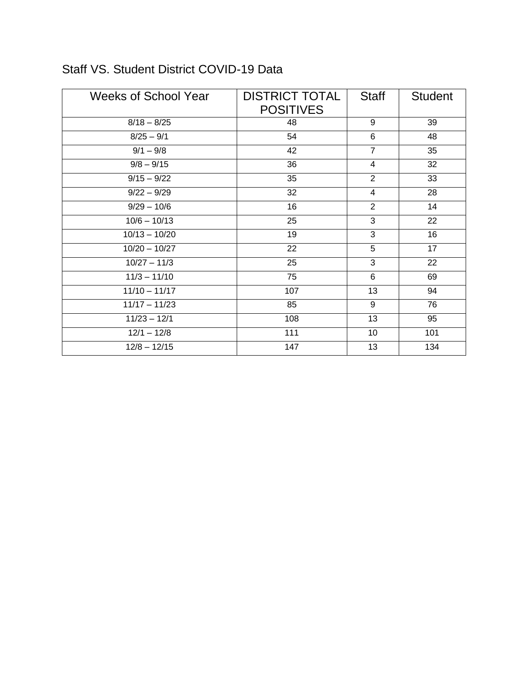| <b>Weeks of School Year</b> | <b>DISTRICT TOTAL</b><br><b>POSITIVES</b> | <b>Staff</b>   | <b>Student</b> |
|-----------------------------|-------------------------------------------|----------------|----------------|
| $8/18 - 8/25$               | 48                                        | 9              | 39             |
| $8/25 - 9/1$                | 54                                        | 6              | 48             |
| $9/1 - 9/8$                 | 42                                        | $\overline{7}$ | 35             |
| $9/8 - 9/15$                | 36                                        | 4              | 32             |
| $9/15 - 9/22$               | 35                                        | $\overline{2}$ | 33             |
| $9/22 - 9/29$               | 32                                        | $\overline{4}$ | 28             |
| $9/29 - 10/6$               | 16                                        | $\overline{2}$ | 14             |
| $10/6 - 10/13$              | 25                                        | 3              | 22             |
| $10/13 - 10/20$             | 19                                        | 3              | 16             |
| $10/20 - 10/27$             | 22                                        | 5              | 17             |
| $10/27 - 11/3$              | 25                                        | 3              | 22             |
| $11/3 - 11/10$              | 75                                        | 6              | 69             |
| $11/10 - 11/17$             | 107                                       | 13             | 94             |
| $11/17 - 11/23$             | 85                                        | 9              | 76             |
| $11/23 - 12/1$              | 108                                       | 13             | 95             |
| $12/1 - 12/8$               | 111                                       | 10             | 101            |
| $12/8 - 12/15$              | 147                                       | 13             | 134            |

## Staff VS. Student District COVID-19 Data